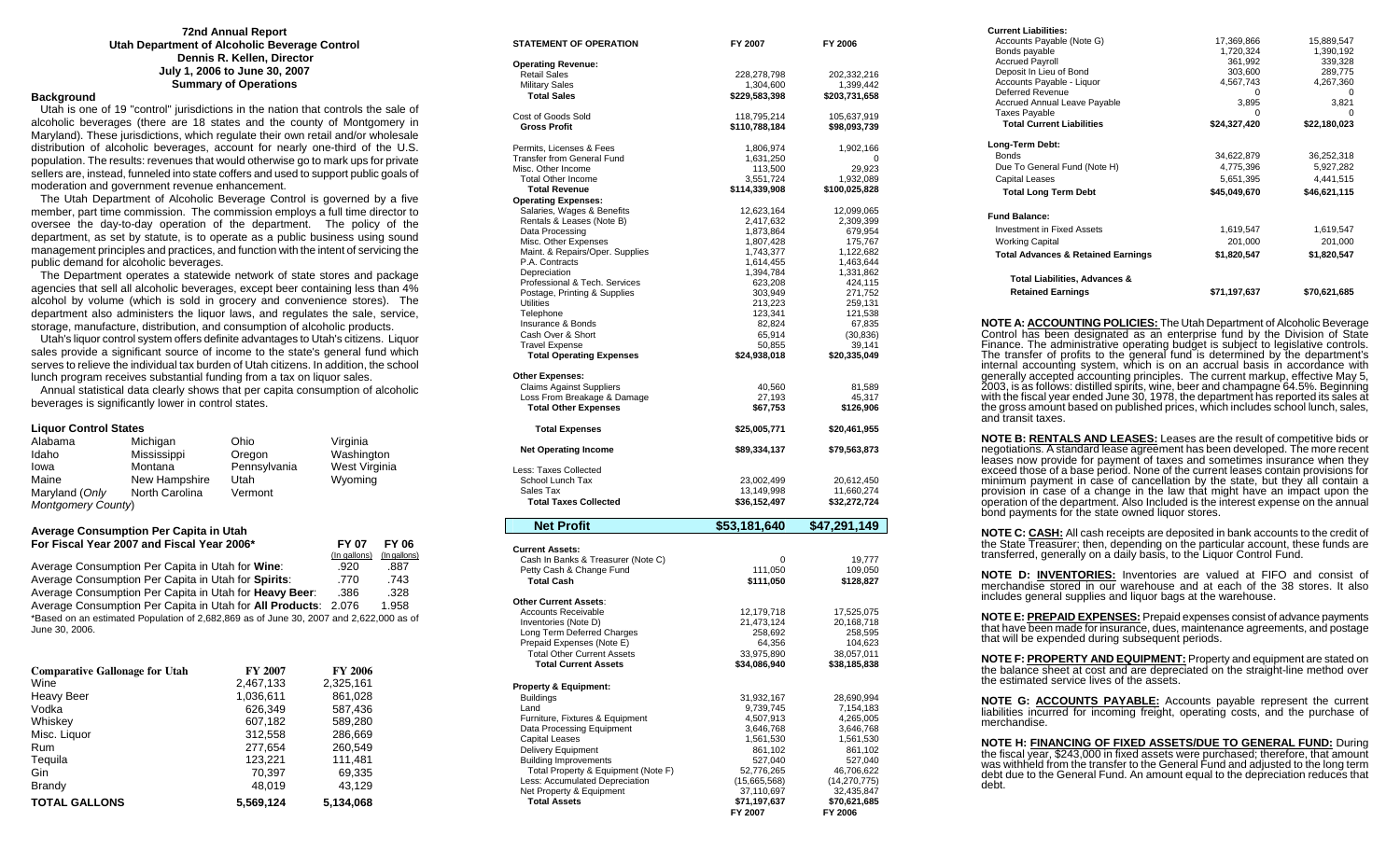#### **72nd Annual Report Utah Department of Alcoholic Beverage Control Dennis R. Kellen, Director July 1, 2006 to June 30, 2007 Summary of Operations**

### **Background**

 Utah is one of 19 "control" jurisdictions in the nation that controls the sale of alcoholic beverages (there are 18 states and the county of Montgomery in Maryland). These jurisdictions, which regulate their own retail and/or wholesale distribution of alcoholic beverages, account for nearly one-third of the U.S. population. The results: revenues that would otherwise go to mark ups for private sellers are, instead, funneled into state coffers and used to support public goals of moderation and government revenue enhancement.

 The Utah Department of Alcoholic Beverage Control is governed by a five member, part time commission. The commission employs a full time director to oversee the day-to-day operation of the department. The policy of the department, as set by statute, is to operate as a public business using sound management principles and practices, and function with the intent of servicing the public demand for alcoholic beverages.

 The Department operates a statewide network of state stores and package agencies that sell all alcoholic beverages, except beer containing less than 4% alcohol by volume (which is sold in grocery and convenience stores). The department also administers the liquor laws, and regulates the sale, service, storage, manufacture, distribution, and consumption of alcoholic products.

 Utah's liquor control system offers definite advantages to Utah's citizens. Liquor sales provide a significant source of income to the state's general fund which serves to relieve the individual tax burden of Utah citizens. In addition, the school lunch program receives substantial funding from a tax on liquor sales.

 Annual statistical data clearly shows that per capita consumption of alcoholic beverages is significantly lower in control states.

#### **Liquor Control States**

| Alabama            | Michigan       | Ohio         | Virginia      |  |
|--------------------|----------------|--------------|---------------|--|
| Idaho              | Mississippi    | Oregon       | Washington    |  |
| lowa               | Montana        | Pennsylvania | West Virginia |  |
| Maine              | New Hampshire  | Utah         | Wyoming       |  |
| Maryland (Only     | North Carolina | Vermont      |               |  |
| Montgomery County) |                |              |               |  |

#### **Average Consumption Per Capita in Utah For Fiscal Year 2007 and Fiscal Year 2006\* FY 07 FY 06**

|                                                                                        | (In gallons) | (In gallons) |
|----------------------------------------------------------------------------------------|--------------|--------------|
| Average Consumption Per Capita in Utah for Wine:                                       | .920         | .887         |
| Average Consumption Per Capita in Utah for Spirits:                                    | .770         | .743         |
| Average Consumption Per Capita in Utah for Heavy Beer:                                 | .386         | .328         |
| Average Consumption Per Capita in Utah for All Products: 2.076                         |              | 1.958        |
| *Based on an estimated Population of 2,682,869 as of June 30, 2007 and 2,622,000 as of |              |              |
| June 30, 2006.                                                                         |              |              |

| <b>Comparative Gallonage for Utah</b> | <b>FY 2007</b> | <b>FY 2006</b> |
|---------------------------------------|----------------|----------------|
| Wine                                  | 2,467,133      | 2,325,161      |
| <b>Heavy Beer</b>                     | 1,036,611      | 861,028        |
| Vodka                                 | 626.349        | 587,436        |
| Whiskey                               | 607,182        | 589,280        |
| Misc. Liquor                          | 312,558        | 286,669        |
| <b>Rum</b>                            | 277,654        | 260,549        |
| Tequila                               | 123.221        | 111,481        |
| Gin                                   | 70.397         | 69,335         |
| <b>Brandy</b>                         | 48.019         | 43.129         |
| <b>TOTAL GALLONS</b>                  | 5.569.124      | 5,134,068      |

| STATEMENT OF OPERATION                                       | FY 2007                    | FY 2006              |
|--------------------------------------------------------------|----------------------------|----------------------|
| <b>Operating Revenue:</b>                                    |                            |                      |
| <b>Retail Sales</b>                                          | 228,278,798                | 202,332,216          |
| <b>Military Sales</b>                                        | 1,304,600                  | 1,399,442            |
| <b>Total Sales</b>                                           | \$229,583,398              | \$203,731,658        |
| Cost of Goods Sold                                           | 118,795,214                | 105,637,919          |
| <b>Gross Profit</b>                                          | \$110,788,184              | \$98,093,739         |
| Permits, Licenses & Fees                                     | 1,806,974                  | 1,902,166            |
| <b>Transfer from General Fund</b>                            | 1,631,250                  | 0                    |
| Misc. Other Income                                           | 113,500                    | 29,923               |
| <b>Total Other Income</b>                                    | 3,551,724                  | 1,932,089            |
| <b>Total Revenue</b>                                         | \$114,339,908              | \$100,025,828        |
| <b>Operating Expenses:</b>                                   |                            |                      |
| Salaries, Wages & Benefits                                   | 12,623,164                 | 12,099,065           |
| Rentals & Leases (Note B)<br>Data Processing                 | 2,417,632<br>1,873,864     | 2,309,399<br>679,954 |
| Misc. Other Expenses                                         | 1,807,428                  | 175,767              |
| Maint. & Repairs/Oper. Supplies                              | 1,743,377                  | 1,122,682            |
| P.A. Contracts                                               | 1,614,455                  | 1,463,644            |
| Depreciation                                                 | 1,394,784                  | 1,331,862            |
| Professional & Tech. Services                                | 623,208                    | 424,115              |
| Postage, Printing & Supplies                                 | 303,949                    | 271,752              |
| Utilities                                                    | 213,223                    | 259,131              |
| Telephone                                                    | 123,341                    | 121,538              |
| Insurance & Bonds<br>Cash Over & Short                       | 82,824<br>65,914           | 67,835<br>(30, 836)  |
| <b>Travel Expense</b>                                        | 50,855                     | 39,141               |
| <b>Total Operating Expenses</b>                              | \$24,938,018               | \$20,335,049         |
|                                                              |                            |                      |
| <b>Other Expenses:</b>                                       |                            |                      |
| <b>Claims Against Suppliers</b>                              | 40,560                     | 81,589               |
| Loss From Breakage & Damage<br><b>Total Other Expenses</b>   | 27,193<br>\$67,753         | 45,317<br>\$126,906  |
|                                                              |                            |                      |
| <b>Total Expenses</b>                                        | \$25,005,771               | \$20,461,955         |
| <b>Net Operating Income</b>                                  | \$89,334,137               | \$79,563,873         |
| Less: Taxes Collected                                        |                            |                      |
| School Lunch Tax                                             | 23,002,499                 | 20,612,450           |
| Sales Tax                                                    | 13,149,998                 | 11,660,274           |
| <b>Total Taxes Collected</b>                                 | \$36,152,497               | \$32,272,724         |
| <b>Net Profit</b>                                            | \$53,181,640               | \$47,291,149         |
|                                                              |                            |                      |
| <b>Current Assets:</b><br>Cash In Banks & Treasurer (Note C) |                            |                      |
| Petty Cash & Change Fund                                     | 0<br>111,050               | 19,777<br>109,050    |
| <b>Total Cash</b>                                            | \$111,050                  | \$128,827            |
|                                                              |                            |                      |
| <b>Other Current Assets:</b>                                 |                            |                      |
| <b>Accounts Receivable</b>                                   | 12,179,718                 | 17,525,075           |
| Inventories (Note D)                                         | 21,473,124                 | 20,168,718           |
| Long Term Deferred Charges<br>Prepaid Expenses (Note E)      | 258,692<br>64,356          | 258,595<br>104,623   |
| <b>Total Other Current Assets</b>                            | 33,975,890                 | 38,057,011           |
| <b>Total Current Assets</b>                                  | \$34,086,940               | \$38,185,838         |
|                                                              |                            |                      |
| Property & Equipment:<br><b>Buildings</b>                    | 31,932,167                 | 28,690,994           |
| Land                                                         | 9,739,745                  | 7,154,183            |
| Furniture, Fixtures & Equipment                              | 4,507,913                  | 4,265,005            |
| Data Processing Equipment                                    | 3,646,768                  | 3,646,768            |
| <b>Capital Leases</b>                                        | 1,561,530                  | 1,561,530            |
| <b>Delivery Equipment</b>                                    | 861,102                    | 861,102              |
| <b>Building Improvements</b>                                 | 527,040                    | 527,040              |
| Total Property & Equipment (Note F)                          | 52,776,265                 | 46,706,622           |
| Less: Accumulated Depreciation                               | (15,665,568)<br>37,110,697 | (14, 270, 775)       |
| Net Property & Equipment                                     |                            | 32,435,847           |

 **FY 2007 FY 2006** 

FY 2006

debt.

| <b>Current Liabilities:</b>                                                                                                                                                                                                                                                                                                                                                                                                                                                                                                                                                                                                      |                                  |              |
|----------------------------------------------------------------------------------------------------------------------------------------------------------------------------------------------------------------------------------------------------------------------------------------------------------------------------------------------------------------------------------------------------------------------------------------------------------------------------------------------------------------------------------------------------------------------------------------------------------------------------------|----------------------------------|--------------|
| Accounts Payable (Note G)                                                                                                                                                                                                                                                                                                                                                                                                                                                                                                                                                                                                        |                                  |              |
| Bonds payable                                                                                                                                                                                                                                                                                                                                                                                                                                                                                                                                                                                                                    |                                  |              |
| <b>Accrued Payroll</b>                                                                                                                                                                                                                                                                                                                                                                                                                                                                                                                                                                                                           |                                  |              |
| Deposit In Lieu of Bond<br>Accounts Payable - Liquor                                                                                                                                                                                                                                                                                                                                                                                                                                                                                                                                                                             |                                  |              |
| Deferred Revenue                                                                                                                                                                                                                                                                                                                                                                                                                                                                                                                                                                                                                 |                                  |              |
| Accrued Annual Leave Payable                                                                                                                                                                                                                                                                                                                                                                                                                                                                                                                                                                                                     |                                  |              |
| <b>Taxes Payable</b>                                                                                                                                                                                                                                                                                                                                                                                                                                                                                                                                                                                                             |                                  |              |
| <b>Total Current Liabilities</b>                                                                                                                                                                                                                                                                                                                                                                                                                                                                                                                                                                                                 | $$24,327,420$ $$22,180,023$      |              |
| Long-Term Debt:                                                                                                                                                                                                                                                                                                                                                                                                                                                                                                                                                                                                                  |                                  |              |
| Bonds                                                                                                                                                                                                                                                                                                                                                                                                                                                                                                                                                                                                                            | 34,622,879                       | 36,252,318   |
| Due To General Fund (Note H)                                                                                                                                                                                                                                                                                                                                                                                                                                                                                                                                                                                                     | 4,775,396                        | 5,927,282    |
| Capital Leases                                                                                                                                                                                                                                                                                                                                                                                                                                                                                                                                                                                                                   | 5,651,395<br><b>\$45,049,670</b> | 4,441,515    |
| <b>Total Long Term Debt</b>                                                                                                                                                                                                                                                                                                                                                                                                                                                                                                                                                                                                      |                                  | \$46,621,115 |
| <b>Fund Balance:</b>                                                                                                                                                                                                                                                                                                                                                                                                                                                                                                                                                                                                             |                                  |              |
| <b>Investment in Fixed Assets</b>                                                                                                                                                                                                                                                                                                                                                                                                                                                                                                                                                                                                |                                  | 1,619,547    |
| <b>Working Capital</b>                                                                                                                                                                                                                                                                                                                                                                                                                                                                                                                                                                                                           | 1,619,547<br>201,000             | 201,000      |
| <b>Total Advances &amp; Retained Earnings</b>                                                                                                                                                                                                                                                                                                                                                                                                                                                                                                                                                                                    | \$1,820,547                      | \$1,820,547  |
|                                                                                                                                                                                                                                                                                                                                                                                                                                                                                                                                                                                                                                  |                                  |              |
| Total Liabilities, Advances &                                                                                                                                                                                                                                                                                                                                                                                                                                                                                                                                                                                                    |                                  |              |
| <b>Retained Earnings</b>                                                                                                                                                                                                                                                                                                                                                                                                                                                                                                                                                                                                         | \$71,197,637                     | \$70,621,685 |
| generally accepted accounting principles. The current markup, effective May 5,<br>2003, is as follows: distilled spirits, wine, beer and champagne 64.5%. Beginning<br>with the fiscal year ended June 30, 1978, the department has reported its sales at<br>the gross amount based on published prices, which includes school lunch, sales,<br>and transit taxes.                                                                                                                                                                                                                                                               |                                  |              |
| NOTE B: RENTALS AND LEASES: Leases are the result of competitive bids or<br>negotiations. A standard lease agreement has been developed. The more recent<br>leases now provide for payment of taxes and sometimes insurance when they<br>exceed those of a base period. None of the current leases contain provisions for<br>minimum payment in case of cancellation by the state, but they all contain a<br>provision in case of a change in the law that might have an impact upon the<br>operation of the department. Also Included is the interest expense on the annual<br>bond payments for the state owned liquor stores. |                                  |              |
| <b>NOTE C: <u>CASH:</u></b> All cash receipts are deposited in bank accounts to the credit of<br>the State Treasurer; then, depending on the particular account, these funds are<br>transferred, generally on a daily basis, to the Liquor Control Fund.                                                                                                                                                                                                                                                                                                                                                                         |                                  |              |
| <b>NOTE D: INVENTORIES:</b> Inventories are valued at FIFO and consist of<br>merchandise stored in our warehouse and at each of the 38 stores. It also<br>includes general supplies and liquor bags at the warehouse.                                                                                                                                                                                                                                                                                                                                                                                                            |                                  |              |
| <b>NOTE E: PREPAID EXPENSES:</b> Prepaid expenses consist of advance payments<br>that have been made for insurance, dues, maintenance agreements, and postage<br>that will be expended during subsequent periods.                                                                                                                                                                                                                                                                                                                                                                                                                |                                  |              |
| NOTE F: PROPERTY AND EQUIPMENT: Property and equipment are stated on<br>the balance sheet at cost and are depreciated on the straight-line method over<br>the estimated service lives of the assets.                                                                                                                                                                                                                                                                                                                                                                                                                             |                                  |              |
| NOTE G: ACCOUNTS PAYABLE: Accounts payable represent the current<br>liabilities incurred for incoming freight, operating costs, and the purchase of<br>merchandise.                                                                                                                                                                                                                                                                                                                                                                                                                                                              |                                  |              |
| NOTE H: FINANCING OF FIXED ASSETS/DUE TO GENERAL FUND: During<br>the fiscal year, \$243,000 in fixed assets were purchased; therefore, that amount was withheld from the transfer to the General Fund and adjusted to the long term<br>debt due to the General Fund. An amount equal to the depreciation reduces that                                                                                                                                                                                                                                                                                                            |                                  |              |